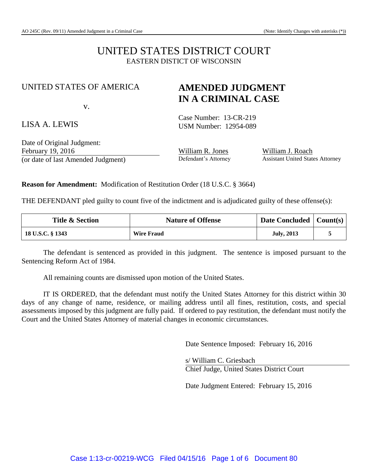# UNITED STATES DISTRICT COURT EASTERN DISTICT OF WISCONSIN

### UNITED STATES OF AMERICA

v.

## LISA A. LEWIS

Case Number: 13-CR-219 USM Number: 12954-089

**AMENDED JUDGMENT IN A CRIMINAL CASE**

Date of Original Judgment: February 19, 2016<br>
Cor date of last Amended Judgment **William R. Jones**<br>
Defendant's Attorney Assistant United States Attorney (or date of last Amended Judgment) Defendant's Attorney

**Reason for Amendment:** Modification of Restitution Order (18 U.S.C. § 3664)

THE DEFENDANT pled guilty to count five of the indictment and is adjudicated guilty of these offense(s):

| <b>Title &amp; Section</b> | <b>Nature of Offense</b> | Date Concluded $\vert$ Count(s) $\vert$ |  |
|----------------------------|--------------------------|-----------------------------------------|--|
| 18 U.S.C. § 1343           | <b>Wire Fraud</b>        | <b>July, 2013</b>                       |  |

The defendant is sentenced as provided in this judgment. The sentence is imposed pursuant to the Sentencing Reform Act of 1984.

All remaining counts are dismissed upon motion of the United States.

IT IS ORDERED, that the defendant must notify the United States Attorney for this district within 30 days of any change of name, residence, or mailing address until all fines, restitution, costs, and special assessments imposed by this judgment are fully paid. If ordered to pay restitution, the defendant must notify the Court and the United States Attorney of material changes in economic circumstances.

Date Sentence Imposed: February 16, 2016

s/ William C. Griesbach Chief Judge, United States District Court

Date Judgment Entered: February 15, 2016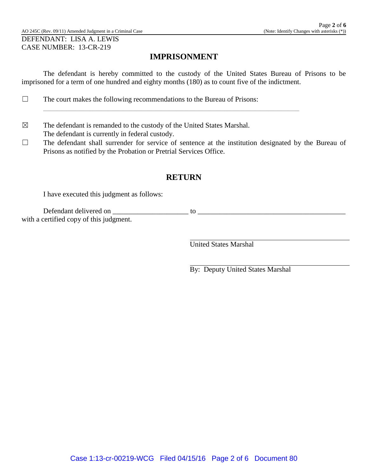# **IMPRISONMENT**

The defendant is hereby committed to the custody of the United States Bureau of Prisons to be imprisoned for a term of one hundred and eighty months (180) as to count five of the indictment.

\_\_\_\_\_\_\_\_\_\_\_\_\_\_\_\_\_\_\_\_\_\_\_\_\_\_\_\_\_\_\_\_\_\_\_\_\_\_\_\_\_\_\_\_\_\_\_\_\_\_\_\_\_\_\_\_\_\_\_\_\_\_\_\_\_\_\_\_\_\_\_

- ☐ The court makes the following recommendations to the Bureau of Prisons:
- $\boxtimes$  The defendant is remanded to the custody of the United States Marshal. The defendant is currently in federal custody.
- ☐ The defendant shall surrender for service of sentence at the institution designated by the Bureau of Prisons as notified by the Probation or Pretrial Services Office.

# **RETURN**

I have executed this judgment as follows:

Defendant delivered on \_\_\_\_\_\_\_\_\_\_\_\_\_\_\_\_\_\_\_\_\_ to \_\_\_\_\_\_\_\_\_\_\_\_\_\_\_\_\_\_\_\_\_\_\_\_\_\_\_\_\_\_\_\_\_\_\_\_\_\_\_\_\_ with a certified copy of this judgment.

United States Marshal

By: Deputy United States Marshal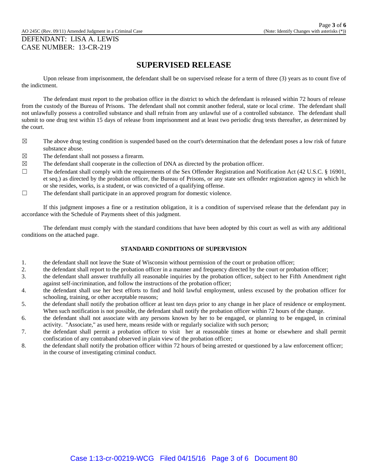AO 245C (Rev. 09/11) Amended Judgment in a Criminal Case (Note: Identify Changes with asterisks (\*))

#### DEFENDANT: LISA A. LEWIS CASE NUMBER: 13-CR-219

### **SUPERVISED RELEASE**

Upon release from imprisonment, the defendant shall be on supervised release for a term of three (3) years as to count five of the indictment.

The defendant must report to the probation office in the district to which the defendant is released within 72 hours of release from the custody of the Bureau of Prisons. The defendant shall not commit another federal, state or local crime. The defendant shall not unlawfully possess a controlled substance and shall refrain from any unlawful use of a controlled substance. The defendant shall submit to one drug test within 15 days of release from imprisonment and at least two periodic drug tests thereafter, as determined by the court.

- $\boxtimes$  The above drug testing condition is suspended based on the court's determination that the defendant poses a low risk of future substance abuse.
- $\boxtimes$  The defendant shall not possess a firearm.
- $\boxtimes$  The defendant shall cooperate in the collection of DNA as directed by the probation officer.
- ☐ The defendant shall comply with the requirements of the Sex Offender Registration and Notification Act (42 U.S.C. § 16901, et seq.) as directed by the probation officer, the Bureau of Prisons, or any state sex offender registration agency in which he or she resides, works, is a student, or was convicted of a qualifying offense.
- $\Box$  The defendant shall participate in an approved program for domestic violence.

If this judgment imposes a fine or a restitution obligation, it is a condition of supervised release that the defendant pay in accordance with the Schedule of Payments sheet of this judgment.

The defendant must comply with the standard conditions that have been adopted by this court as well as with any additional conditions on the attached page.

#### **STANDARD CONDITIONS OF SUPERVISION**

- 1. the defendant shall not leave the State of Wisconsin without permission of the court or probation officer;
- 2. the defendant shall report to the probation officer in a manner and frequency directed by the court or probation officer;
- 3. the defendant shall answer truthfully all reasonable inquiries by the probation officer, subject to her Fifth Amendment right against self-incrimination, and follow the instructions of the probation officer;
- 4. the defendant shall use her best efforts to find and hold lawful employment, unless excused by the probation officer for schooling, training, or other acceptable reasons;
- 5. the defendant shall notify the probation officer at least ten days prior to any change in her place of residence or employment. When such notification is not possible, the defendant shall notify the probation officer within 72 hours of the change.
- 6. the defendant shall not associate with any persons known by her to be engaged, or planning to be engaged, in criminal activity. "Associate," as used here, means reside with or regularly socialize with such person;
- 7. the defendant shall permit a probation officer to visit her at reasonable times at home or elsewhere and shall permit confiscation of any contraband observed in plain view of the probation officer;
- 8. the defendant shall notify the probation officer within 72 hours of being arrested or questioned by a law enforcement officer; in the course of investigating criminal conduct.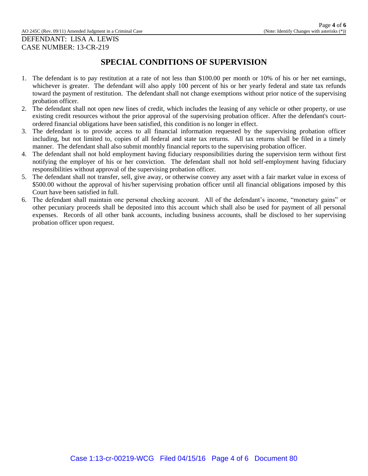# **SPECIAL CONDITIONS OF SUPERVISION**

- 1. The defendant is to pay restitution at a rate of not less than \$100.00 per month or 10% of his or her net earnings, whichever is greater. The defendant will also apply 100 percent of his or her yearly federal and state tax refunds toward the payment of restitution. The defendant shall not change exemptions without prior notice of the supervising probation officer.
- 2. The defendant shall not open new lines of credit, which includes the leasing of any vehicle or other property, or use existing credit resources without the prior approval of the supervising probation officer. After the defendant's courtordered financial obligations have been satisfied, this condition is no longer in effect.
- 3. The defendant is to provide access to all financial information requested by the supervising probation officer including, but not limited to, copies of all federal and state tax returns. All tax returns shall be filed in a timely manner. The defendant shall also submit monthly financial reports to the supervising probation officer.
- 4. The defendant shall not hold employment having fiduciary responsibilities during the supervision term without first notifying the employer of his or her conviction. The defendant shall not hold self-employment having fiduciary responsibilities without approval of the supervising probation officer.
- 5. The defendant shall not transfer, sell, give away, or otherwise convey any asset with a fair market value in excess of \$500.00 without the approval of his/her supervising probation officer until all financial obligations imposed by this Court have been satisfied in full.
- 6. The defendant shall maintain one personal checking account. All of the defendant's income, "monetary gains" or other pecuniary proceeds shall be deposited into this account which shall also be used for payment of all personal expenses. Records of all other bank accounts, including business accounts, shall be disclosed to her supervising probation officer upon request.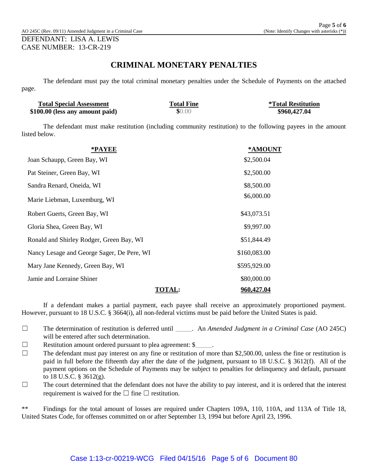### **CRIMINAL MONETARY PENALTIES**

The defendant must pay the total criminal monetary penalties under the Schedule of Payments on the attached page.

| <b>Total Special Assessment</b> | <b>Total Fine</b> | <i><b>*Total Restitution</b></i> |
|---------------------------------|-------------------|----------------------------------|
| \$100.00 (less any amount paid) | \$0.00            | \$960,427.04                     |

The defendant must make restitution (including community restitution) to the following payees in the amount listed below.

| *PAYEE                                     |               | *AMOUNT           |
|--------------------------------------------|---------------|-------------------|
| Joan Schaupp, Green Bay, WI                |               | \$2,500.04        |
| Pat Steiner, Green Bay, WI                 |               | \$2,500.00        |
| Sandra Renard, Oneida, WI                  |               | \$8,500.00        |
| Marie Liebman, Luxemburg, WI               |               | \$6,000.00        |
| Robert Guerts, Green Bay, WI               |               | \$43,073.51       |
| Gloria Shea, Green Bay, WI                 |               | \$9,997.00        |
| Ronald and Shirley Rodger, Green Bay, WI   |               | \$51,844.49       |
| Nancy Lesage and George Sager, De Pere, WI |               | \$160,083.00      |
| Mary Jane Kennedy, Green Bay, WI           |               | \$595,929.00      |
| Jamie and Lorraine Shiner                  |               | \$80,000.00       |
|                                            | <b>TOTAL:</b> | <u>960,427.04</u> |

If a defendant makes a partial payment, each payee shall receive an approximately proportioned payment. However, pursuant to 18 U.S.C. § 3664(i), all non-federal victims must be paid before the United States is paid.

- ☐ The determination of restitution is deferred until \_\_\_\_\_. An *Amended Judgment in a Criminal Case* (AO 245C) will be entered after such determination.
- $\Box$  Restitution amount ordered pursuant to plea agreement:  $\$\circ$ .
- $\Box$  The defendant must pay interest on any fine or restitution of more than \$2,500.00, unless the fine or restitution is paid in full before the fifteenth day after the date of the judgment, pursuant to 18 U.S.C. § 3612(f). All of the payment options on the Schedule of Payments may be subject to penalties for delinquency and default, pursuant to 18 U.S.C. § 3612(g).
- $\Box$  The court determined that the defendant does not have the ability to pay interest, and it is ordered that the interest requirement is waived for the  $\Box$  fine  $\Box$  restitution.

\*\* Findings for the total amount of losses are required under Chapters 109A, 110, 110A, and 113A of Title 18, United States Code, for offenses committed on or after September 13, 1994 but before April 23, 1996.